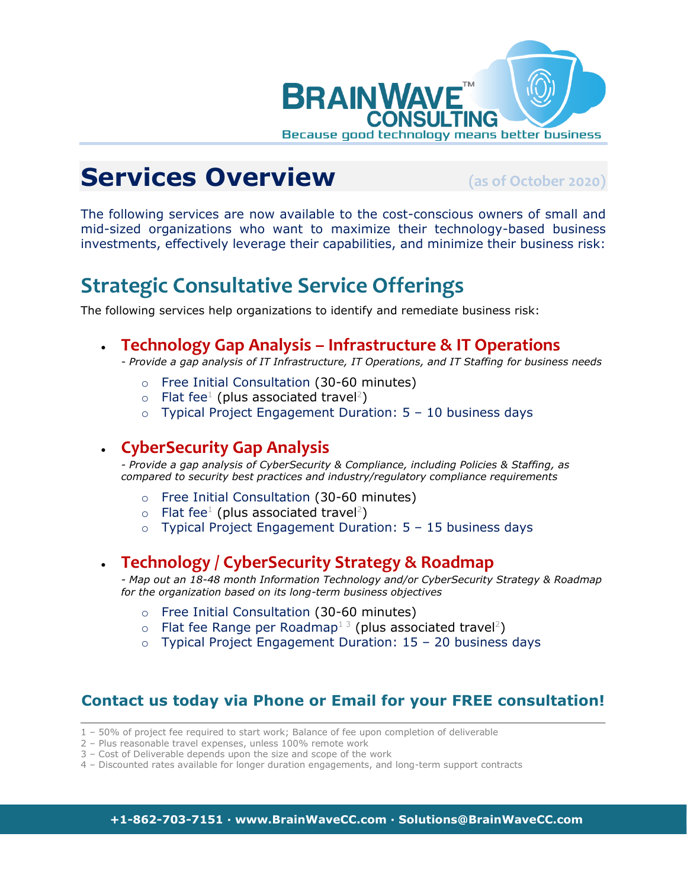

# **Services Overview (as of October 2020)**

The following services are now available to the cost-conscious owners of small and mid-sized organizations who want to maximize their technology-based business investments, effectively leverage their capabilities, and minimize their business risk:

### **Strategic Consultative Service Offerings**

The following services help organizations to identify and remediate business risk:

• **Technology Gap Analysis – Infrastructure & IT Operations**

*- Provide a gap analysis of IT Infrastructure, IT Operations, and IT Staffing for business needs*

- o Free Initial Consultation (30-60 minutes)
- $\circ$  Flat fee<sup>1</sup> (plus associated travel<sup>2</sup>)
- $\circ$  Typical Project Engagement Duration:  $5 10$  business days

#### • **CyberSecurity Gap Analysis**

*- Provide a gap analysis of CyberSecurity & Compliance, including Policies & Staffing, as compared to security best practices and industry/regulatory compliance requirements*

- o Free Initial Consultation (30-60 minutes)
- $\circ$  Flat fee<sup>1</sup> (plus associated travel<sup>2</sup>)
- $\circ$  Typical Project Engagement Duration:  $5 15$  business days

#### • **Technology / CyberSecurity Strategy & Roadmap**

*- Map out an 18-48 month Information Technology and/or CyberSecurity Strategy & Roadmap for the organization based on its long-term business objectives*

- o Free Initial Consultation (30-60 minutes)
- $\circ$  Flat fee Range per Roadmap<sup>13</sup> (plus associated travel<sup>2</sup>)
- $\circ$  Typical Project Engagement Duration: 15 20 business days

#### **Contact us today via Phone or Email for your FREE consultation!**

- 1 50% of project fee required to start work; Balance of fee upon completion of deliverable
- 2 Plus reasonable travel expenses, unless 100% remote work
- 3 Cost of Deliverable depends upon the size and scope of the work
- 4 Discounted rates available for longer duration engagements, and long-term support contracts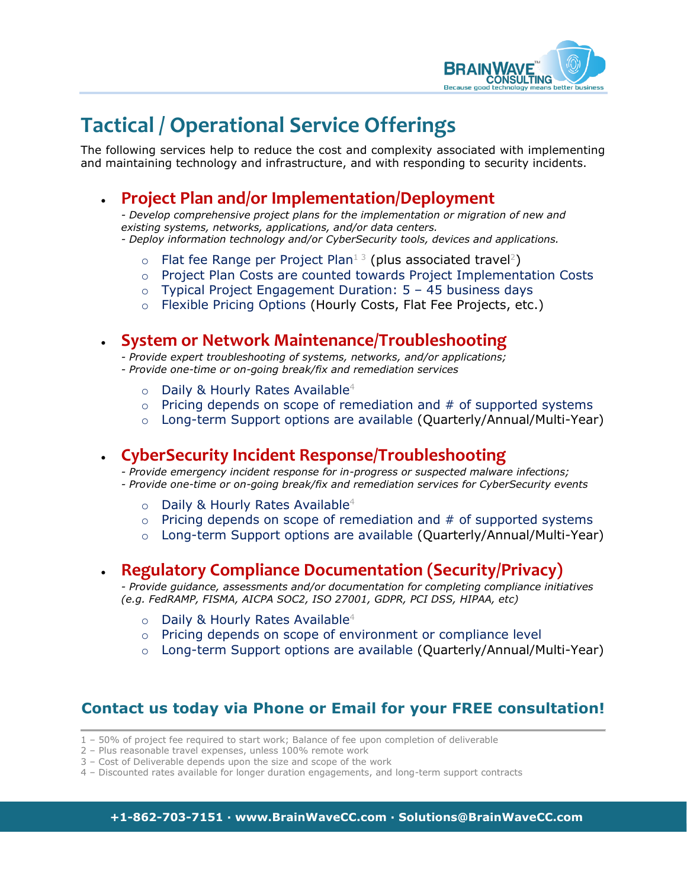

## **Tactical / Operational Service Offerings**

The following services help to reduce the cost and complexity associated with implementing and maintaining technology and infrastructure, and with responding to security incidents.

### • **Project Plan and/or Implementation/Deployment**

*- Develop comprehensive project plans for the implementation or migration of new and existing systems, networks, applications, and/or data centers. - Deploy information technology and/or CyberSecurity tools, devices and applications.* 

- $\circ$  Flat fee Range per Project Plan<sup>13</sup> (plus associated travel<sup>2</sup>)
- o Project Plan Costs are counted towards Project Implementation Costs
- $\circ$  Typical Project Engagement Duration:  $5 45$  business days
- o Flexible Pricing Options (Hourly Costs, Flat Fee Projects, etc.)

#### • **System or Network Maintenance/Troubleshooting**

- *- Provide expert troubleshooting of systems, networks, and/or applications;*
- *- Provide one-time or on-going break/fix and remediation services*
	- $\circ$  Daily & Hourly Rates Available<sup>4</sup>
	- $\circ$  Pricing depends on scope of remediation and  $#$  of supported systems
	- o Long-term Support options are available (Quarterly/Annual/Multi-Year)

#### • **CyberSecurity Incident Response/Troubleshooting**

*- Provide emergency incident response for in-progress or suspected malware infections; - Provide one-time or on-going break/fix and remediation services for CyberSecurity events*

- $\circ$  Daily & Hourly Rates Available<sup>4</sup>
- $\circ$  Pricing depends on scope of remediation and  $#$  of supported systems
- o Long-term Support options are available (Quarterly/Annual/Multi-Year)

#### • **Regulatory Compliance Documentation (Security/Privacy)**

*- Provide guidance, assessments and/or documentation for completing compliance initiatives (e.g. FedRAMP, FISMA, AICPA SOC2, ISO 27001, GDPR, PCI DSS, HIPAA, etc)*

- $\circ$  Daily & Hourly Rates Available<sup>4</sup>
- o Pricing depends on scope of environment or compliance level
- $\circ$  Long-term Support options are available (Quarterly/Annual/Multi-Year)

#### **Contact us today via Phone or Email for your FREE consultation!**

- 1 50% of project fee required to start work; Balance of fee upon completion of deliverable
- 2 Plus reasonable travel expenses, unless 100% remote work
- 3 Cost of Deliverable depends upon the size and scope of the work
- 4 Discounted rates available for longer duration engagements, and long-term support contracts